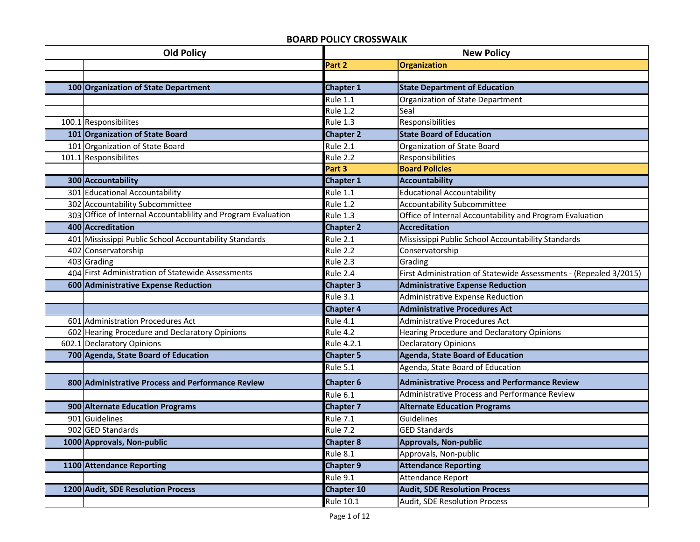## **BOARD POLICY CROSSWALK**

| <b>Old Policy</b> |                                                               |                        | <b>New Policy</b>                                                 |  |
|-------------------|---------------------------------------------------------------|------------------------|-------------------------------------------------------------------|--|
|                   |                                                               | Part 2                 | Organization                                                      |  |
|                   |                                                               |                        |                                                                   |  |
|                   | 100 Organization of State Department                          | <b>Chapter 1</b>       | <b>State Department of Education</b>                              |  |
|                   |                                                               | <b>Rule 1.1</b>        | Organization of State Department                                  |  |
|                   |                                                               | <b>Rule 1.2</b>        | Seal                                                              |  |
|                   | 100.1 Responsibilites                                         | <b>Rule 1.3</b>        | Responsibilities                                                  |  |
|                   | 101 Organization of State Board                               | <b>Chapter 2</b>       | <b>State Board of Education</b>                                   |  |
|                   | 101 Organization of State Board                               | <b>Rule 2.1</b>        | Organization of State Board                                       |  |
|                   | 101.1 Responsibilites                                         | Rule 2.2               | Responsibilities                                                  |  |
|                   |                                                               | Part 3                 | <b>Board Policies</b>                                             |  |
|                   | 300 Accountability                                            | <b>Chapter 1</b>       | <b>Accountability</b>                                             |  |
|                   | 301 Educational Accountability                                | <b>Rule 1.1</b>        | <b>Educational Accountability</b>                                 |  |
|                   | 302 Accountability Subcommittee                               | <b>Rule 1.2</b>        | <b>Accountability Subcommittee</b>                                |  |
|                   | 303 Office of Internal Accountablility and Program Evaluation | <b>Rule 1.3</b>        | Office of Internal Accountability and Program Evaluation          |  |
|                   | 400 Accreditation                                             | <b>Chapter 2</b>       | <b>Accreditation</b>                                              |  |
|                   | 401 Mississippi Public School Accountability Standards        | $\overline{R}$ ule 2.1 | Mississippi Public School Accountability Standards                |  |
|                   | 402 Conservatorship                                           | <b>Rule 2.2</b>        | Conservatorship                                                   |  |
|                   | 403 Grading                                                   | Rule 2.3               | Grading                                                           |  |
|                   | 404 First Administration of Statewide Assessments             | Rule 2.4               | First Administration of Statewide Assessments - (Repealed 3/2015) |  |
|                   | 600 Administrative Expense Reduction                          | <b>Chapter 3</b>       | <b>Administrative Expense Reduction</b>                           |  |
|                   |                                                               | Rule 3.1               | <b>Administrative Expense Reduction</b>                           |  |
|                   |                                                               | <b>Chapter 4</b>       | <b>Administrative Procedures Act</b>                              |  |
|                   | 601 Administration Procedures Act                             | <b>Rule 4.1</b>        | <b>Administrative Procedures Act</b>                              |  |
|                   |                                                               |                        |                                                                   |  |
|                   | 602 Hearing Procedure and Declaratory Opinions                | Rule 4.2               | Hearing Procedure and Declaratory Opinions                        |  |
|                   | 602.1 Declaratory Opinions                                    | Rule 4.2.1             | <b>Declaratory Opinions</b>                                       |  |
|                   | 700 Agenda, State Board of Education                          | <b>Chapter 5</b>       | <b>Agenda, State Board of Education</b>                           |  |
|                   |                                                               | <b>Rule 5.1</b>        | Agenda, State Board of Education                                  |  |
|                   | 800 Administrative Process and Performance Review             | <b>Chapter 6</b>       | <b>Administrative Process and Performance Review</b>              |  |
|                   |                                                               | Rule 6.1               | <b>Administrative Process and Performance Review</b>              |  |
|                   | 900 Alternate Education Programs                              | <b>Chapter 7</b>       | <b>Alternate Education Programs</b>                               |  |
|                   | 901 Guidelines                                                | <b>Rule 7.1</b>        | Guidelines                                                        |  |
|                   | 902 GED Standards                                             | <b>Rule 7.2</b>        | <b>GED Standards</b>                                              |  |
|                   | 1000 Approvals, Non-public                                    | <b>Chapter 8</b>       | <b>Approvals, Non-public</b>                                      |  |
|                   |                                                               | Rule 8.1               | Approvals, Non-public                                             |  |
|                   | 1100 Attendance Reporting                                     | <b>Chapter 9</b>       | <b>Attendance Reporting</b>                                       |  |
|                   |                                                               | $\overline{Rule}$ 9.1  | Attendance Report                                                 |  |
|                   | 1200 Audit, SDE Resolution Process                            | <b>Chapter 10</b>      | <b>Audit, SDE Resolution Process</b>                              |  |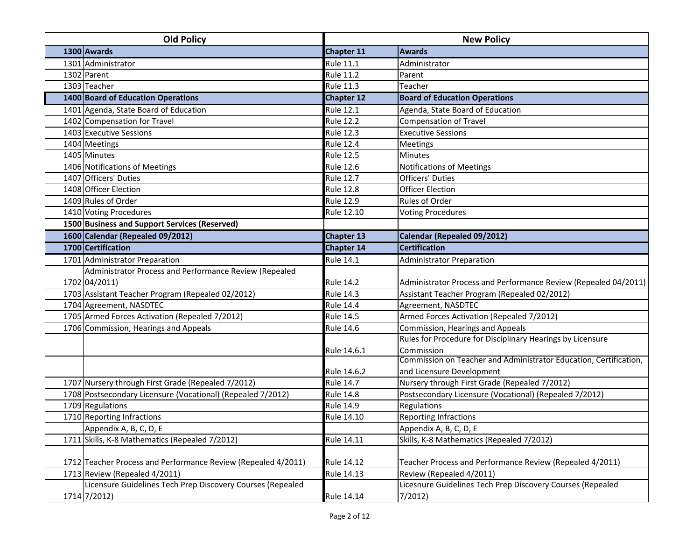| 1300 Awards<br>Chapter 11<br><b>Awards</b><br>1301 Administrator<br><b>Rule 11.1</b><br>Administrator<br>1302 Parent<br><b>Rule 11.2</b><br>Parent<br>1303 Teacher<br><b>Rule 11.3</b><br>Teacher<br>1400 Board of Education Operations<br><b>Board of Education Operations</b><br><b>Chapter 12</b><br>1401 Agenda, State Board of Education<br><b>Rule 12.1</b><br>Agenda, State Board of Education<br>1402 Compensation for Travel<br><b>Rule 12.2</b><br><b>Compensation of Travel</b><br>1403 Executive Sessions<br><b>Rule 12.3</b><br><b>Executive Sessions</b><br>1404 Meetings<br><b>Rule 12.4</b><br><b>Meetings</b><br>1405 Minutes<br><b>Rule 12.5</b><br><b>Minutes</b><br>1406 Notifications of Meetings<br><b>Rule 12.6</b><br><b>Notifications of Meetings</b><br>1407 Officers' Duties<br><b>Rule 12.7</b><br><b>Officers' Duties</b><br>1408 Officer Election<br><b>Rule 12.8</b><br><b>Officer Election</b><br>1409 Rules of Order<br><b>Rule 12.9</b><br>Rules of Order<br>1410 Voting Procedures<br>Rule 12.10 |  |
|-------------------------------------------------------------------------------------------------------------------------------------------------------------------------------------------------------------------------------------------------------------------------------------------------------------------------------------------------------------------------------------------------------------------------------------------------------------------------------------------------------------------------------------------------------------------------------------------------------------------------------------------------------------------------------------------------------------------------------------------------------------------------------------------------------------------------------------------------------------------------------------------------------------------------------------------------------------------------------------------------------------------------------------|--|
|                                                                                                                                                                                                                                                                                                                                                                                                                                                                                                                                                                                                                                                                                                                                                                                                                                                                                                                                                                                                                                     |  |
|                                                                                                                                                                                                                                                                                                                                                                                                                                                                                                                                                                                                                                                                                                                                                                                                                                                                                                                                                                                                                                     |  |
|                                                                                                                                                                                                                                                                                                                                                                                                                                                                                                                                                                                                                                                                                                                                                                                                                                                                                                                                                                                                                                     |  |
|                                                                                                                                                                                                                                                                                                                                                                                                                                                                                                                                                                                                                                                                                                                                                                                                                                                                                                                                                                                                                                     |  |
|                                                                                                                                                                                                                                                                                                                                                                                                                                                                                                                                                                                                                                                                                                                                                                                                                                                                                                                                                                                                                                     |  |
|                                                                                                                                                                                                                                                                                                                                                                                                                                                                                                                                                                                                                                                                                                                                                                                                                                                                                                                                                                                                                                     |  |
|                                                                                                                                                                                                                                                                                                                                                                                                                                                                                                                                                                                                                                                                                                                                                                                                                                                                                                                                                                                                                                     |  |
|                                                                                                                                                                                                                                                                                                                                                                                                                                                                                                                                                                                                                                                                                                                                                                                                                                                                                                                                                                                                                                     |  |
|                                                                                                                                                                                                                                                                                                                                                                                                                                                                                                                                                                                                                                                                                                                                                                                                                                                                                                                                                                                                                                     |  |
|                                                                                                                                                                                                                                                                                                                                                                                                                                                                                                                                                                                                                                                                                                                                                                                                                                                                                                                                                                                                                                     |  |
|                                                                                                                                                                                                                                                                                                                                                                                                                                                                                                                                                                                                                                                                                                                                                                                                                                                                                                                                                                                                                                     |  |
|                                                                                                                                                                                                                                                                                                                                                                                                                                                                                                                                                                                                                                                                                                                                                                                                                                                                                                                                                                                                                                     |  |
|                                                                                                                                                                                                                                                                                                                                                                                                                                                                                                                                                                                                                                                                                                                                                                                                                                                                                                                                                                                                                                     |  |
|                                                                                                                                                                                                                                                                                                                                                                                                                                                                                                                                                                                                                                                                                                                                                                                                                                                                                                                                                                                                                                     |  |
| <b>Voting Procedures</b>                                                                                                                                                                                                                                                                                                                                                                                                                                                                                                                                                                                                                                                                                                                                                                                                                                                                                                                                                                                                            |  |
| 1500 Business and Support Services (Reserved)                                                                                                                                                                                                                                                                                                                                                                                                                                                                                                                                                                                                                                                                                                                                                                                                                                                                                                                                                                                       |  |
| 1600 Calendar (Repealed 09/2012)<br>Calendar (Repealed 09/2012)<br><b>Chapter 13</b>                                                                                                                                                                                                                                                                                                                                                                                                                                                                                                                                                                                                                                                                                                                                                                                                                                                                                                                                                |  |
| 1700 Certification<br><b>Certification</b><br><b>Chapter 14</b>                                                                                                                                                                                                                                                                                                                                                                                                                                                                                                                                                                                                                                                                                                                                                                                                                                                                                                                                                                     |  |
| 1701 Administrator Preparation<br>Rule 14.1<br><b>Administrator Preparation</b>                                                                                                                                                                                                                                                                                                                                                                                                                                                                                                                                                                                                                                                                                                                                                                                                                                                                                                                                                     |  |
| Administrator Process and Performance Review (Repealed                                                                                                                                                                                                                                                                                                                                                                                                                                                                                                                                                                                                                                                                                                                                                                                                                                                                                                                                                                              |  |
| 1702 04/2011)<br>Administrator Process and Performance Review (Repealed 04/2011)<br><b>Rule 14.2</b>                                                                                                                                                                                                                                                                                                                                                                                                                                                                                                                                                                                                                                                                                                                                                                                                                                                                                                                                |  |
| 1703 Assistant Teacher Program (Repealed 02/2012)<br><b>Rule 14.3</b><br>Assistant Teacher Program (Repealed 02/2012)                                                                                                                                                                                                                                                                                                                                                                                                                                                                                                                                                                                                                                                                                                                                                                                                                                                                                                               |  |
| 1704 Agreement, NASDTEC<br><b>Rule 14.4</b><br>Agreement, NASDTEC                                                                                                                                                                                                                                                                                                                                                                                                                                                                                                                                                                                                                                                                                                                                                                                                                                                                                                                                                                   |  |
| 1705 Armed Forces Activation (Repealed 7/2012)<br>Armed Forces Activation (Repealed 7/2012)<br><b>Rule 14.5</b>                                                                                                                                                                                                                                                                                                                                                                                                                                                                                                                                                                                                                                                                                                                                                                                                                                                                                                                     |  |
| Commission, Hearings and Appeals<br>1706 Commission, Hearings and Appeals<br>Rule 14.6                                                                                                                                                                                                                                                                                                                                                                                                                                                                                                                                                                                                                                                                                                                                                                                                                                                                                                                                              |  |
| Rules for Procedure for Disciplinary Hearings by Licensure                                                                                                                                                                                                                                                                                                                                                                                                                                                                                                                                                                                                                                                                                                                                                                                                                                                                                                                                                                          |  |
| Commission<br>Rule 14.6.1                                                                                                                                                                                                                                                                                                                                                                                                                                                                                                                                                                                                                                                                                                                                                                                                                                                                                                                                                                                                           |  |
| Commission on Teacher and Administrator Education, Certification,                                                                                                                                                                                                                                                                                                                                                                                                                                                                                                                                                                                                                                                                                                                                                                                                                                                                                                                                                                   |  |
| and Licensure Development<br>Rule 14.6.2                                                                                                                                                                                                                                                                                                                                                                                                                                                                                                                                                                                                                                                                                                                                                                                                                                                                                                                                                                                            |  |
| 1707 Nursery through First Grade (Repealed 7/2012)<br><b>Rule 14.7</b><br>Nursery through First Grade (Repealed 7/2012)                                                                                                                                                                                                                                                                                                                                                                                                                                                                                                                                                                                                                                                                                                                                                                                                                                                                                                             |  |
| 1708 Postsecondary Licensure (Vocational) (Repealed 7/2012)<br>Postsecondary Licensure (Vocational) (Repealed 7/2012)<br><b>Rule 14.8</b>                                                                                                                                                                                                                                                                                                                                                                                                                                                                                                                                                                                                                                                                                                                                                                                                                                                                                           |  |
| 1709 Regulations<br><b>Rule 14.9</b><br>Regulations                                                                                                                                                                                                                                                                                                                                                                                                                                                                                                                                                                                                                                                                                                                                                                                                                                                                                                                                                                                 |  |
| 1710 Reporting Infractions<br>Rule 14.10<br><b>Reporting Infractions</b>                                                                                                                                                                                                                                                                                                                                                                                                                                                                                                                                                                                                                                                                                                                                                                                                                                                                                                                                                            |  |
| Appendix A, B, C, D, E<br>Appendix A, B, C, D, E                                                                                                                                                                                                                                                                                                                                                                                                                                                                                                                                                                                                                                                                                                                                                                                                                                                                                                                                                                                    |  |
| 1711 Skills, K-8 Mathematics (Repealed 7/2012)<br><b>Rule 14.11</b><br>Skills, K-8 Mathematics (Repealed 7/2012)                                                                                                                                                                                                                                                                                                                                                                                                                                                                                                                                                                                                                                                                                                                                                                                                                                                                                                                    |  |
| 1712 Teacher Process and Performance Review (Repealed 4/2011)<br>Rule 14.12<br>Teacher Process and Performance Review (Repealed 4/2011)                                                                                                                                                                                                                                                                                                                                                                                                                                                                                                                                                                                                                                                                                                                                                                                                                                                                                             |  |
| 1713 Review (Repealed 4/2011)<br><b>Rule 14.13</b><br>Review (Repealed 4/2011)                                                                                                                                                                                                                                                                                                                                                                                                                                                                                                                                                                                                                                                                                                                                                                                                                                                                                                                                                      |  |
| Licensure Guidelines Tech Prep Discovery Courses (Repealed<br>Licesnure Guidelines Tech Prep Discovery Courses (Repealed<br>7/2012<br>1714 7/2012)<br>Rule 14.14                                                                                                                                                                                                                                                                                                                                                                                                                                                                                                                                                                                                                                                                                                                                                                                                                                                                    |  |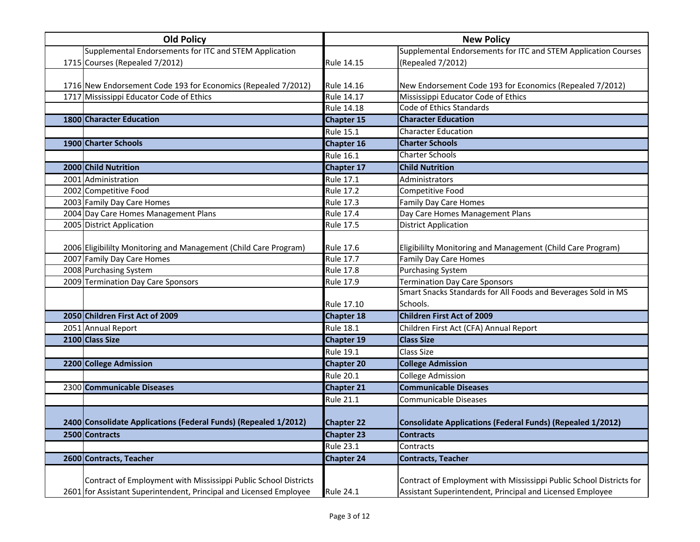| <b>Old Policy</b>                                                  | <b>New Policy</b> |                                                                     |
|--------------------------------------------------------------------|-------------------|---------------------------------------------------------------------|
| Supplemental Endorsements for ITC and STEM Application             |                   | Supplemental Endorsements for ITC and STEM Application Courses      |
| 1715 Courses (Repealed 7/2012)                                     | Rule 14.15        | (Repealed 7/2012)                                                   |
|                                                                    |                   |                                                                     |
| 1716 New Endorsement Code 193 for Economics (Repealed 7/2012)      | Rule 14.16        | New Endorsement Code 193 for Economics (Repealed 7/2012)            |
| 1717 Mississippi Educator Code of Ethics                           | Rule 14.17        | Mississippi Educator Code of Ethics                                 |
|                                                                    | Rule 14.18        | Code of Ethics Standards                                            |
| 1800 Character Education                                           | <b>Chapter 15</b> | <b>Character Education</b>                                          |
|                                                                    | <b>Rule 15.1</b>  | <b>Character Education</b>                                          |
| 1900 Charter Schools                                               | <b>Chapter 16</b> | <b>Charter Schools</b>                                              |
|                                                                    | <b>Rule 16.1</b>  | <b>Charter Schools</b>                                              |
| 2000 Child Nutrition                                               | <b>Chapter 17</b> | <b>Child Nutrition</b>                                              |
| 2001 Administration                                                | <b>Rule 17.1</b>  | Administrators                                                      |
| 2002 Competitive Food                                              | <b>Rule 17.2</b>  | Competitive Food                                                    |
| 2003 Family Day Care Homes                                         | <b>Rule 17.3</b>  | <b>Family Day Care Homes</b>                                        |
| 2004 Day Care Homes Management Plans                               | <b>Rule 17.4</b>  | Day Care Homes Management Plans                                     |
| 2005 District Application                                          | <b>Rule 17.5</b>  | <b>District Application</b>                                         |
|                                                                    |                   |                                                                     |
| 2006 Eligibililty Monitoring and Management (Child Care Program)   | Rule 17.6         | Eligibililty Monitoring and Management (Child Care Program)         |
| 2007 Family Day Care Homes                                         | Rule 17.7         | <b>Family Day Care Homes</b>                                        |
| 2008 Purchasing System                                             | <b>Rule 17.8</b>  | <b>Purchasing System</b>                                            |
| 2009 Termination Day Care Sponsors                                 | Rule 17.9         | <b>Termination Day Care Sponsors</b>                                |
|                                                                    |                   | Smart Snacks Standards for All Foods and Beverages Sold in MS       |
|                                                                    | Rule 17.10        | Schools.                                                            |
| 2050 Children First Act of 2009                                    | <b>Chapter 18</b> | <b>Children First Act of 2009</b>                                   |
| 2051 Annual Report                                                 | <b>Rule 18.1</b>  | Children First Act (CFA) Annual Report                              |
| 2100 Class Size                                                    | <b>Chapter 19</b> | <b>Class Size</b>                                                   |
|                                                                    | <b>Rule 19.1</b>  | <b>Class Size</b>                                                   |
| 2200 College Admission                                             | <b>Chapter 20</b> | <b>College Admission</b>                                            |
|                                                                    | <b>Rule 20.1</b>  | <b>College Admission</b>                                            |
| 2300 Communicable Diseases                                         | <b>Chapter 21</b> | <b>Communicable Diseases</b>                                        |
|                                                                    | <b>Rule 21.1</b>  | Communicable Diseases                                               |
|                                                                    |                   |                                                                     |
| 2400 Consolidate Applications (Federal Funds) (Repealed 1/2012)    | <b>Chapter 22</b> | <b>Consolidate Applications (Federal Funds) (Repealed 1/2012)</b>   |
| 2500 Contracts                                                     | <b>Chapter 23</b> | <b>Contracts</b>                                                    |
|                                                                    | <b>Rule 23.1</b>  | Contracts                                                           |
| 2600 Contracts, Teacher                                            | <b>Chapter 24</b> | <b>Contracts, Teacher</b>                                           |
|                                                                    |                   |                                                                     |
| Contract of Employment with Mississippi Public School Districts    |                   | Contract of Employment with Mississippi Public School Districts for |
| 2601 for Assistant Superintendent, Principal and Licensed Employee | <b>Rule 24.1</b>  | Assistant Superintendent, Principal and Licensed Employee           |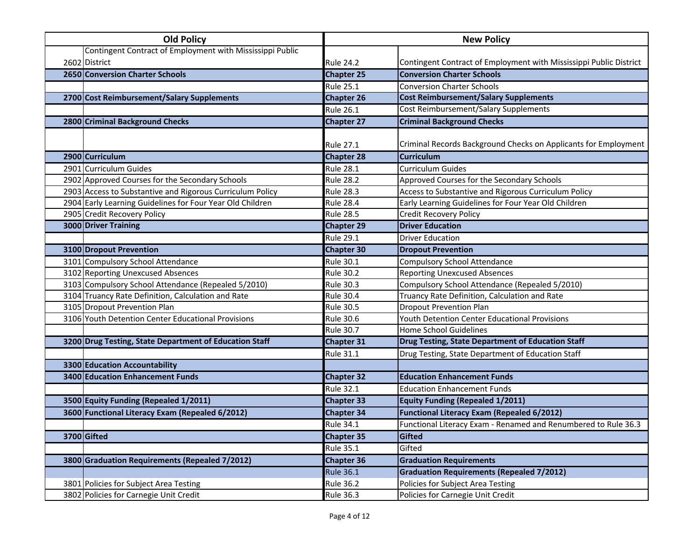| <b>Old Policy</b> |                                                           | <b>New Policy</b> |                                                                    |  |
|-------------------|-----------------------------------------------------------|-------------------|--------------------------------------------------------------------|--|
|                   | Contingent Contract of Employment with Mississippi Public |                   |                                                                    |  |
|                   | 2602 District                                             | <b>Rule 24.2</b>  | Contingent Contract of Employment with Mississippi Public District |  |
|                   | 2650 Conversion Charter Schools                           | <b>Chapter 25</b> | <b>Conversion Charter Schools</b>                                  |  |
|                   |                                                           | <b>Rule 25.1</b>  | <b>Conversion Charter Schools</b>                                  |  |
|                   | 2700 Cost Reimbursement/Salary Supplements                | <b>Chapter 26</b> | <b>Cost Reimbursement/Salary Supplements</b>                       |  |
|                   |                                                           | <b>Rule 26.1</b>  | Cost Reimbursement/Salary Supplements                              |  |
|                   | 2800 Criminal Background Checks                           | <b>Chapter 27</b> | <b>Criminal Background Checks</b>                                  |  |
|                   |                                                           | <b>Rule 27.1</b>  | Criminal Records Background Checks on Applicants for Employment    |  |
|                   | 2900 Curriculum                                           | <b>Chapter 28</b> | <b>Curriculum</b>                                                  |  |
|                   | 2901 Curriculum Guides                                    | <b>Rule 28.1</b>  | <b>Curriculum Guides</b>                                           |  |
|                   | 2902 Approved Courses for the Secondary Schools           | <b>Rule 28.2</b>  | Approved Courses for the Secondary Schools                         |  |
|                   | 2903 Access to Substantive and Rigorous Curriculum Policy | <b>Rule 28.3</b>  | Access to Substantive and Rigorous Curriculum Policy               |  |
|                   | 2904 Early Learning Guidelines for Four Year Old Children | <b>Rule 28.4</b>  | Early Learning Guidelines for Four Year Old Children               |  |
|                   | 2905 Credit Recovery Policy                               | <b>Rule 28.5</b>  | <b>Credit Recovery Policy</b>                                      |  |
|                   | 3000 Driver Training                                      | <b>Chapter 29</b> | <b>Driver Education</b>                                            |  |
|                   |                                                           | <b>Rule 29.1</b>  | <b>Driver Education</b>                                            |  |
|                   | 3100 Dropout Prevention                                   | <b>Chapter 30</b> | <b>Dropout Prevention</b>                                          |  |
|                   | 3101 Compulsory School Attendance                         | <b>Rule 30.1</b>  | <b>Compulsory School Attendance</b>                                |  |
|                   | 3102 Reporting Unexcused Absences                         | <b>Rule 30.2</b>  | <b>Reporting Unexcused Absences</b>                                |  |
|                   | 3103 Compulsory School Attendance (Repealed 5/2010)       | <b>Rule 30.3</b>  | Compulsory School Attendance (Repealed 5/2010)                     |  |
|                   | 3104 Truancy Rate Definition, Calculation and Rate        | <b>Rule 30.4</b>  | Truancy Rate Definition, Calculation and Rate                      |  |
|                   | 3105 Dropout Prevention Plan                              | <b>Rule 30.5</b>  | <b>Dropout Prevention Plan</b>                                     |  |
|                   | 3106 Youth Detention Center Educational Provisions        | <b>Rule 30.6</b>  | Youth Detention Center Educational Provisions                      |  |
|                   |                                                           | <b>Rule 30.7</b>  | <b>Home School Guidelines</b>                                      |  |
|                   | 3200 Drug Testing, State Department of Education Staff    | <b>Chapter 31</b> | Drug Testing, State Department of Education Staff                  |  |
|                   |                                                           | <b>Rule 31.1</b>  | Drug Testing, State Department of Education Staff                  |  |
|                   | 3300 Education Accountability                             |                   |                                                                    |  |
|                   | 3400 Education Enhancement Funds                          | <b>Chapter 32</b> | <b>Education Enhancement Funds</b>                                 |  |
|                   |                                                           | <b>Rule 32.1</b>  | <b>Education Enhancement Funds</b>                                 |  |
|                   | 3500 Equity Funding (Repealed 1/2011)                     | <b>Chapter 33</b> | <b>Equity Funding (Repealed 1/2011)</b>                            |  |
|                   | 3600 Functional Literacy Exam (Repealed 6/2012)           | <b>Chapter 34</b> | <b>Functional Literacy Exam (Repealed 6/2012)</b>                  |  |
|                   |                                                           | <b>Rule 34.1</b>  | Functional Literacy Exam - Renamed and Renumbered to Rule 36.3     |  |
|                   | 3700 Gifted                                               | <b>Chapter 35</b> | <b>Gifted</b>                                                      |  |
|                   |                                                           | <b>Rule 35.1</b>  | Gifted                                                             |  |
|                   | 3800 Graduation Requirements (Repealed 7/2012)            | <b>Chapter 36</b> | <b>Graduation Requirements</b>                                     |  |
|                   |                                                           | <b>Rule 36.1</b>  | <b>Graduation Requirements (Repealed 7/2012)</b>                   |  |
|                   | 3801 Policies for Subject Area Testing                    | <b>Rule 36.2</b>  | Policies for Subject Area Testing                                  |  |
|                   | 3802 Policies for Carnegie Unit Credit                    | <b>Rule 36.3</b>  | Policies for Carnegie Unit Credit                                  |  |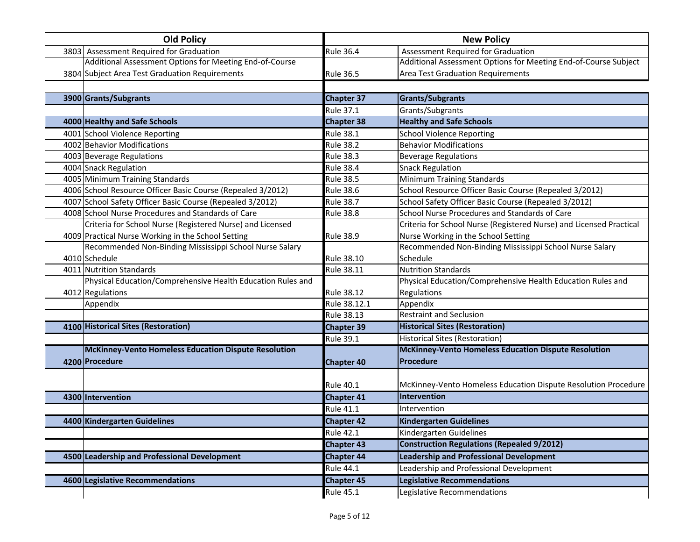| <b>Old Policy</b>                                           |                   | <b>New Policy</b>                                                   |
|-------------------------------------------------------------|-------------------|---------------------------------------------------------------------|
| 3803 Assessment Required for Graduation                     | <b>Rule 36.4</b>  | Assessment Required for Graduation                                  |
| Additional Assessment Options for Meeting End-of-Course     |                   | Additional Assessment Options for Meeting End-of-Course Subject     |
| 3804 Subject Area Test Graduation Requirements              | <b>Rule 36.5</b>  | <b>Area Test Graduation Requirements</b>                            |
|                                                             |                   |                                                                     |
| 3900 Grants/Subgrants                                       | <b>Chapter 37</b> | <b>Grants/Subgrants</b>                                             |
|                                                             | <b>Rule 37.1</b>  | Grants/Subgrants                                                    |
| 4000 Healthy and Safe Schools                               | <b>Chapter 38</b> | <b>Healthy and Safe Schools</b>                                     |
| 4001 School Violence Reporting                              | <b>Rule 38.1</b>  | <b>School Violence Reporting</b>                                    |
| 4002 Behavior Modifications                                 | <b>Rule 38.2</b>  | <b>Behavior Modifications</b>                                       |
| 4003 Beverage Regulations                                   | <b>Rule 38.3</b>  | <b>Beverage Regulations</b>                                         |
| 4004 Snack Regulation                                       | <b>Rule 38.4</b>  | <b>Snack Regulation</b>                                             |
| 4005 Minimum Training Standards                             | <b>Rule 38.5</b>  | Minimum Training Standards                                          |
| 4006 School Resource Officer Basic Course (Repealed 3/2012) | <b>Rule 38.6</b>  | School Resource Officer Basic Course (Repealed 3/2012)              |
| 4007 School Safety Officer Basic Course (Repealed 3/2012)   | <b>Rule 38.7</b>  | School Safety Officer Basic Course (Repealed 3/2012)                |
| 4008 School Nurse Procedures and Standards of Care          | <b>Rule 38.8</b>  | School Nurse Procedures and Standards of Care                       |
| Criteria for School Nurse (Registered Nurse) and Licensed   |                   | Criteria for School Nurse (Registered Nurse) and Licensed Practical |
| 4009 Practical Nurse Working in the School Setting          | <b>Rule 38.9</b>  | Nurse Working in the School Setting                                 |
| Recommended Non-Binding Mississippi School Nurse Salary     |                   | Recommended Non-Binding Mississippi School Nurse Salary             |
| 4010 Schedule                                               | <b>Rule 38.10</b> | Schedule                                                            |
| 4011 Nutrition Standards                                    | <b>Rule 38.11</b> | <b>Nutrition Standards</b>                                          |
| Physical Education/Comprehensive Health Education Rules and |                   | Physical Education/Comprehensive Health Education Rules and         |
| 4012 Regulations                                            | <b>Rule 38.12</b> | Regulations                                                         |
| Appendix                                                    | Rule 38.12.1      | Appendix                                                            |
|                                                             | <b>Rule 38.13</b> | <b>Restraint and Seclusion</b>                                      |
| 4100 Historical Sites (Restoration)                         | <b>Chapter 39</b> | <b>Historical Sites (Restoration)</b>                               |
|                                                             | <b>Rule 39.1</b>  | <b>Historical Sites (Restoration)</b>                               |
| <b>McKinney-Vento Homeless Education Dispute Resolution</b> |                   | <b>McKinney-Vento Homeless Education Dispute Resolution</b>         |
| 4200 Procedure                                              | <b>Chapter 40</b> | Procedure                                                           |
|                                                             |                   |                                                                     |
|                                                             | <b>Rule 40.1</b>  | McKinney-Vento Homeless Education Dispute Resolution Procedure      |
| 4300 Intervention                                           | <b>Chapter 41</b> | Intervention                                                        |
|                                                             | <b>Rule 41.1</b>  | Intervention                                                        |
| 4400 Kindergarten Guidelines                                | <b>Chapter 42</b> | <b>Kindergarten Guidelines</b>                                      |
|                                                             | <b>Rule 42.1</b>  | Kindergarten Guidelines                                             |
|                                                             | <b>Chapter 43</b> | <b>Construction Regulations (Repealed 9/2012)</b>                   |
| 4500 Leadership and Professional Development                | <b>Chapter 44</b> | <b>Leadership and Professional Development</b>                      |
|                                                             | <b>Rule 44.1</b>  | Leadership and Professional Development                             |
| 4600 Legislative Recommendations                            | <b>Chapter 45</b> | <b>Legislative Recommendations</b>                                  |
|                                                             | <b>Rule 45.1</b>  | Legislative Recommendations                                         |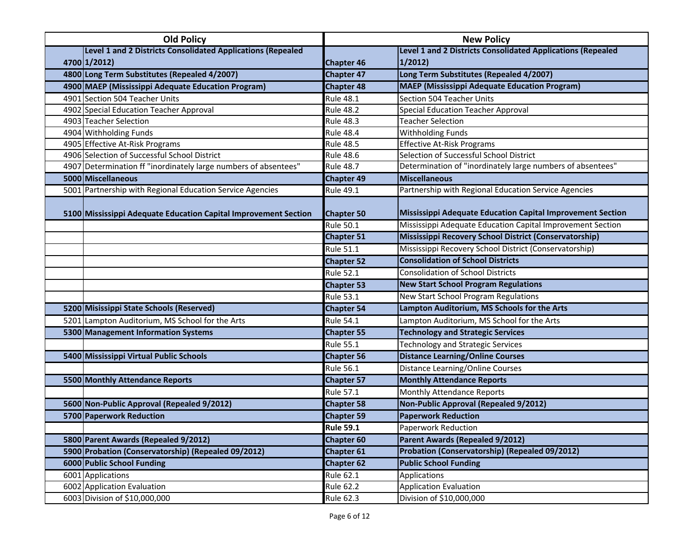| <b>Old Policy</b> |                                                                 | <b>New Policy</b> |                                                                    |
|-------------------|-----------------------------------------------------------------|-------------------|--------------------------------------------------------------------|
|                   | Level 1 and 2 Districts Consolidated Applications (Repealed     |                   | <b>Level 1 and 2 Districts Consolidated Applications (Repealed</b> |
|                   | 4700 1/2012)                                                    | <b>Chapter 46</b> | 1/2012)                                                            |
|                   | 4800 Long Term Substitutes (Repealed 4/2007)                    | <b>Chapter 47</b> | Long Term Substitutes (Repealed 4/2007)                            |
|                   | 4900 MAEP (Mississippi Adequate Education Program)              | <b>Chapter 48</b> | <b>MAEP</b> (Mississippi Adequate Education Program)               |
|                   | 4901 Section 504 Teacher Units                                  | <b>Rule 48.1</b>  | Section 504 Teacher Units                                          |
|                   | 4902 Special Education Teacher Approval                         | <b>Rule 48.2</b>  | <b>Special Education Teacher Approval</b>                          |
|                   | 4903 Teacher Selection                                          | <b>Rule 48.3</b>  | <b>Teacher Selection</b>                                           |
|                   | 4904 Withholding Funds                                          | <b>Rule 48.4</b>  | Withholding Funds                                                  |
|                   | 4905 Effective At-Risk Programs                                 | <b>Rule 48.5</b>  | <b>Effective At-Risk Programs</b>                                  |
|                   | 4906 Selection of Successful School District                    | <b>Rule 48.6</b>  | Selection of Successful School District                            |
|                   | 4907 Determination ff "inordinately large numbers of absentees" | <b>Rule 48.7</b>  | Determination of "inordinately large numbers of absentees"         |
|                   | 5000 Miscellaneous                                              | <b>Chapter 49</b> | <b>Miscellaneous</b>                                               |
|                   | 5001 Partnership with Regional Education Service Agencies       | Rule 49.1         | Partnership with Regional Education Service Agencies               |
|                   |                                                                 |                   |                                                                    |
|                   | 5100 Mississippi Adequate Education Capital Improvement Section | <b>Chapter 50</b> | Mississippi Adequate Education Capital Improvement Section         |
|                   |                                                                 | <b>Rule 50.1</b>  | Mississippi Adequate Education Capital Improvement Section         |
|                   |                                                                 | <b>Chapter 51</b> | Mississippi Recovery School District (Conservatorship)             |
|                   |                                                                 | <b>Rule 51.1</b>  | Mississippi Recovery School District (Conservatorship)             |
|                   |                                                                 | <b>Chapter 52</b> | <b>Consolidation of School Districts</b>                           |
|                   |                                                                 | <b>Rule 52.1</b>  | <b>Consolidation of School Districts</b>                           |
|                   |                                                                 | <b>Chapter 53</b> | <b>New Start School Program Regulations</b>                        |
|                   |                                                                 | <b>Rule 53.1</b>  | New Start School Program Regulations                               |
|                   | 5200 Misissippi State Schools (Reserved)                        | <b>Chapter 54</b> | Lampton Auditorium, MS Schools for the Arts                        |
|                   | 5201 Lampton Auditorium, MS School for the Arts                 | <b>Rule 54.1</b>  | Lampton Auditorium, MS School for the Arts                         |
|                   | 5300 Management Information Systems                             | <b>Chapter 55</b> | <b>Technology and Strategic Services</b>                           |
|                   |                                                                 | <b>Rule 55.1</b>  | <b>Technology and Strategic Services</b>                           |
|                   | 5400 Mississippi Virtual Public Schools                         | <b>Chapter 56</b> | <b>Distance Learning/Online Courses</b>                            |
|                   |                                                                 | <b>Rule 56.1</b>  | Distance Learning/Online Courses                                   |
|                   | <b>5500 Monthly Attendance Reports</b>                          | <b>Chapter 57</b> | <b>Monthly Attendance Reports</b>                                  |
|                   |                                                                 | <b>Rule 57.1</b>  | Monthly Attendance Reports                                         |
|                   | 5600 Non-Public Approval (Repealed 9/2012)                      | <b>Chapter 58</b> | <b>Non-Public Approval (Repealed 9/2012)</b>                       |
|                   | 5700 Paperwork Reduction                                        | <b>Chapter 59</b> | <b>Paperwork Reduction</b>                                         |
|                   |                                                                 | <b>Rule 59.1</b>  | Paperwork Reduction                                                |
|                   | 5800 Parent Awards (Repealed 9/2012)                            | <b>Chapter 60</b> | Parent Awards (Repealed 9/2012)                                    |
|                   | 5900 Probation (Conservatorship) (Repealed 09/2012)             | <b>Chapter 61</b> | Probation (Conservatorship) (Repealed 09/2012)                     |
|                   | 6000 Public School Funding                                      | <b>Chapter 62</b> | <b>Public School Funding</b>                                       |
|                   | 6001 Applications                                               | <b>Rule 62.1</b>  | Applications                                                       |
|                   | 6002 Application Evaluation                                     | <b>Rule 62.2</b>  | <b>Application Evaluation</b>                                      |
|                   | 6003 Division of \$10,000,000                                   | <b>Rule 62.3</b>  | Division of \$10,000,000                                           |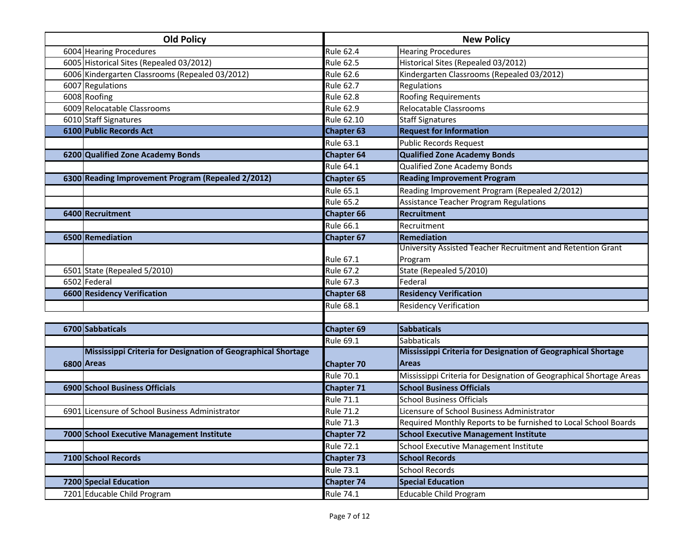|                  | <b>Old Policy</b>                                             |                   | <b>New Policy</b>                                                   |
|------------------|---------------------------------------------------------------|-------------------|---------------------------------------------------------------------|
|                  | 6004 Hearing Procedures                                       | Rule 62.4         | <b>Hearing Procedures</b>                                           |
|                  | 6005 Historical Sites (Repealed 03/2012)                      | <b>Rule 62.5</b>  | Historical Sites (Repealed 03/2012)                                 |
|                  | 6006 Kindergarten Classrooms (Repealed 03/2012)               | <b>Rule 62.6</b>  | Kindergarten Classrooms (Repealed 03/2012)                          |
| 6007 Regulations |                                                               | <b>Rule 62.7</b>  | Regulations                                                         |
| 6008 Roofing     |                                                               | Rule 62.8         | <b>Roofing Requirements</b>                                         |
|                  | 6009 Relocatable Classrooms                                   | <b>Rule 62.9</b>  | Relocatable Classrooms                                              |
|                  | 6010 Staff Signatures                                         | Rule 62.10        | <b>Staff Signatures</b>                                             |
|                  | 6100 Public Records Act                                       | <b>Chapter 63</b> | <b>Request for Information</b>                                      |
|                  |                                                               | <b>Rule 63.1</b>  | <b>Public Records Request</b>                                       |
|                  | 6200 Qualified Zone Academy Bonds                             | <b>Chapter 64</b> | <b>Qualified Zone Academy Bonds</b>                                 |
|                  |                                                               | <b>Rule 64.1</b>  | Qualified Zone Academy Bonds                                        |
|                  | 6300 Reading Improvement Program (Repealed 2/2012)            | <b>Chapter 65</b> | <b>Reading Improvement Program</b>                                  |
|                  |                                                               | <b>Rule 65.1</b>  | Reading Improvement Program (Repealed 2/2012)                       |
|                  |                                                               | <b>Rule 65.2</b>  | <b>Assistance Teacher Program Regulations</b>                       |
|                  | 6400 Recruitment                                              | Chapter 66        | <b>Recruitment</b>                                                  |
|                  |                                                               | <b>Rule 66.1</b>  | Recruitment                                                         |
|                  | 6500 Remediation                                              | <b>Chapter 67</b> | Remediation                                                         |
|                  |                                                               |                   | University Assisted Teacher Recruitment and Retention Grant         |
|                  |                                                               | Rule 67.1         | Program                                                             |
|                  | 6501 State (Repealed 5/2010)                                  | <b>Rule 67.2</b>  | State (Repealed 5/2010)                                             |
| 6502 Federal     |                                                               | <b>Rule 67.3</b>  | Federal                                                             |
|                  | 6600 Residency Verification                                   | <b>Chapter 68</b> | <b>Residency Verification</b>                                       |
|                  |                                                               | Rule 68.1         | <b>Residency Verification</b>                                       |
|                  |                                                               |                   |                                                                     |
| 6700 Sabbaticals |                                                               | <b>Chapter 69</b> | <b>Sabbaticals</b>                                                  |
|                  |                                                               | <b>Rule 69.1</b>  | <b>Sabbaticals</b>                                                  |
|                  | Mississippi Criteria for Designation of Geographical Shortage |                   | Mississippi Criteria for Designation of Geographical Shortage       |
| 6800 Areas       |                                                               | <b>Chapter 70</b> | <b>Areas</b>                                                        |
|                  |                                                               | <b>Rule 70.1</b>  | Mississippi Criteria for Designation of Geographical Shortage Areas |
|                  | 6900 School Business Officials                                | <b>Chapter 71</b> | <b>School Business Officials</b>                                    |
|                  |                                                               | <b>Rule 71.1</b>  | <b>School Business Officials</b>                                    |
|                  | 6901 Licensure of School Business Administrator               | <b>Rule 71.2</b>  | Licensure of School Business Administrator                          |
|                  |                                                               | <b>Rule 71.3</b>  | Required Monthly Reports to be furnished to Local School Boards     |
|                  | 7000 School Executive Management Institute                    | <b>Chapter 72</b> | <b>School Executive Management Institute</b>                        |
|                  |                                                               | <b>Rule 72.1</b>  | School Executive Management Institute                               |
|                  | 7100 School Records                                           | <b>Chapter 73</b> | <b>School Records</b>                                               |
|                  |                                                               | <b>Rule 73.1</b>  | <b>School Records</b>                                               |
|                  | 7200 Special Education                                        | <b>Chapter 74</b> | <b>Special Education</b>                                            |
|                  | 7201 Educable Child Program                                   | <b>Rule 74.1</b>  | Educable Child Program                                              |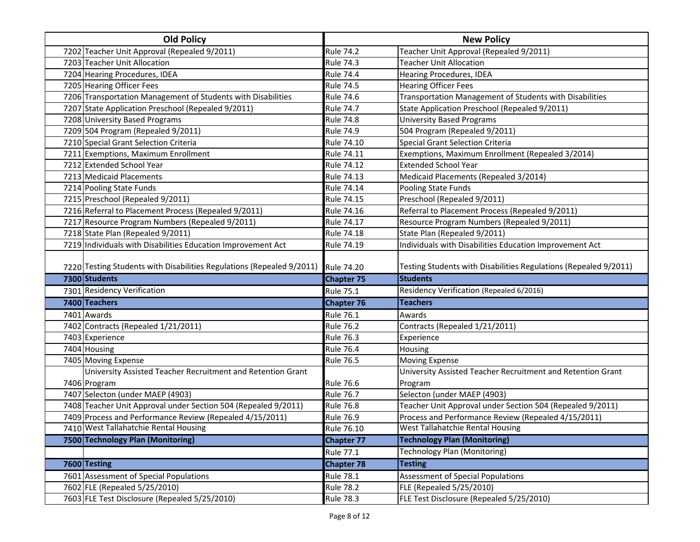| <b>Old Policy</b>                                                     |                   | <b>New Policy</b>                                                |
|-----------------------------------------------------------------------|-------------------|------------------------------------------------------------------|
| 7202 Teacher Unit Approval (Repealed 9/2011)                          | <b>Rule 74.2</b>  | Teacher Unit Approval (Repealed 9/2011)                          |
| 7203 Teacher Unit Allocation                                          | <b>Rule 74.3</b>  | <b>Teacher Unit Allocation</b>                                   |
| 7204 Hearing Procedures, IDEA                                         | <b>Rule 74.4</b>  | Hearing Procedures, IDEA                                         |
| 7205 Hearing Officer Fees                                             | <b>Rule 74.5</b>  | <b>Hearing Officer Fees</b>                                      |
| 7206 Transportation Management of Students with Disabilities          | <b>Rule 74.6</b>  | Transportation Management of Students with Disabilities          |
| 7207 State Application Preschool (Repealed 9/2011)                    | <b>Rule 74.7</b>  | State Application Preschool (Repealed 9/2011)                    |
| 7208 University Based Programs                                        | <b>Rule 74.8</b>  | <b>University Based Programs</b>                                 |
| 7209 504 Program (Repealed 9/2011)                                    | <b>Rule 74.9</b>  | 504 Program (Repealed 9/2011)                                    |
| 7210 Special Grant Selection Criteria                                 | Rule 74.10        | <b>Special Grant Selection Criteria</b>                          |
| 7211 Exemptions, Maximum Enrollment                                   | <b>Rule 74.11</b> | Exemptions, Maximum Enrollment (Repealed 3/2014)                 |
| 7212 Extended School Year                                             | <b>Rule 74.12</b> | <b>Extended School Year</b>                                      |
| 7213 Medicaid Placements                                              | <b>Rule 74.13</b> | Medicaid Placements (Repealed 3/2014)                            |
| 7214 Pooling State Funds                                              | Rule 74.14        | Pooling State Funds                                              |
| 7215 Preschool (Repealed 9/2011)                                      | <b>Rule 74.15</b> | Preschool (Repealed 9/2011)                                      |
| 7216 Referral to Placement Process (Repealed 9/2011)                  | <b>Rule 74.16</b> | Referral to Placement Process (Repealed 9/2011)                  |
| 7217 Resource Program Numbers (Repealed 9/2011)                       | Rule 74.17        | Resource Program Numbers (Repealed 9/2011)                       |
| 7218 State Plan (Repealed 9/2011)                                     | <b>Rule 74.18</b> | State Plan (Repealed 9/2011)                                     |
| 7219 Individuals with Disabilities Education Improvement Act          | Rule 74.19        | Individuals with Disabilities Education Improvement Act          |
|                                                                       |                   | Testing Students with Disabilities Regulations (Repealed 9/2011) |
| 7220 Testing Students with Disabilities Regulations (Repealed 9/2011) | <b>Rule 74.20</b> |                                                                  |
| 7300 Students                                                         | <b>Chapter 75</b> | <b>Students</b>                                                  |
| 7301 Residency Verification                                           | Rule 75.1         | Residency Verification (Repealed 6/2016)                         |
| 7400 Teachers                                                         | <b>Chapter 76</b> | <b>Teachers</b>                                                  |
| 7401 Awards                                                           | <b>Rule 76.1</b>  | Awards                                                           |
| 7402 Contracts (Repealed 1/21/2011)                                   | <b>Rule 76.2</b>  | Contracts (Repealed 1/21/2011)                                   |
| 7403 Experience                                                       | <b>Rule 76.3</b>  | Experience                                                       |
| 7404 Housing                                                          | <b>Rule 76.4</b>  | Housing                                                          |
| 7405 Moving Expense                                                   | <b>Rule 76.5</b>  | <b>Moving Expense</b>                                            |
| University Assisted Teacher Recruitment and Retention Grant           |                   | University Assisted Teacher Recruitment and Retention Grant      |
| 7406 Program                                                          | <b>Rule 76.6</b>  | Program                                                          |
| 7407 Selecton (under MAEP (4903)                                      | <b>Rule 76.7</b>  | Selecton (under MAEP (4903)                                      |
| 7408 Teacher Unit Approval under Section 504 (Repealed 9/2011)        | <b>Rule 76.8</b>  | Teacher Unit Approval under Section 504 (Repealed 9/2011)        |
| 7409 Process and Performance Review (Repealed 4/15/2011)              | <b>Rule 76.9</b>  | Process and Performance Review (Repealed 4/15/2011)              |
| 7410 West Tallahatchie Rental Housing                                 | Rule 76.10        | West Tallahatchie Rental Housing                                 |
| 7500 Technology Plan (Monitoring)                                     | <b>Chapter 77</b> | <b>Technology Plan (Monitoring)</b>                              |
|                                                                       | <b>Rule 77.1</b>  | Technology Plan (Monitoring)                                     |
| 7600 Testing                                                          | <b>Chapter 78</b> | <b>Testing</b>                                                   |
| 7601 Assessment of Special Populations                                | <b>Rule 78.1</b>  | Assessment of Special Populations                                |
| 7602 FLE (Repealed 5/25/2010)                                         | <b>Rule 78.2</b>  | FLE (Repealed 5/25/2010)                                         |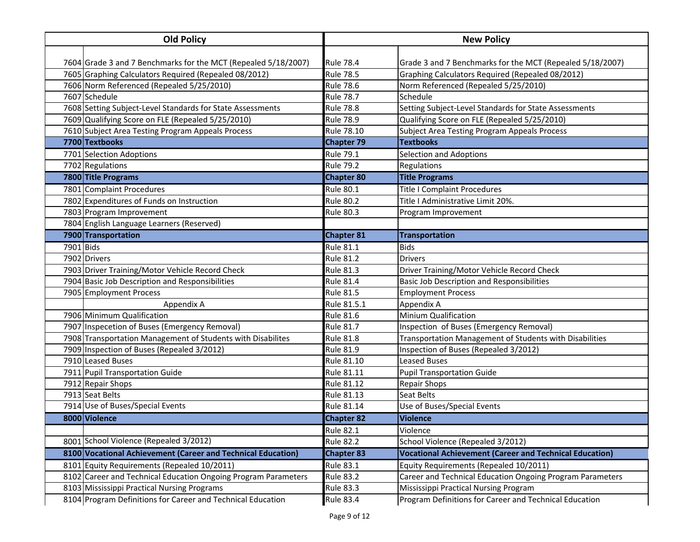| <b>Old Policy</b> |                                                                | <b>New Policy</b> |                                                                |
|-------------------|----------------------------------------------------------------|-------------------|----------------------------------------------------------------|
|                   |                                                                |                   |                                                                |
|                   | 7604 Grade 3 and 7 Benchmarks for the MCT (Repealed 5/18/2007) | <b>Rule 78.4</b>  | Grade 3 and 7 Benchmarks for the MCT (Repealed 5/18/2007)      |
|                   | 7605 Graphing Calculators Required (Repealed 08/2012)          | <b>Rule 78.5</b>  | Graphing Calculators Required (Repealed 08/2012)               |
|                   | 7606 Norm Referenced (Repealed 5/25/2010)                      | <b>Rule 78.6</b>  | Norm Referenced (Repealed 5/25/2010)                           |
|                   | 7607 Schedule                                                  | <b>Rule 78.7</b>  | Schedule                                                       |
|                   | 7608 Setting Subject-Level Standards for State Assessments     | <b>Rule 78.8</b>  | Setting Subject-Level Standards for State Assessments          |
|                   | 7609 Qualifying Score on FLE (Repealed 5/25/2010)              | <b>Rule 78.9</b>  | Qualifying Score on FLE (Repealed 5/25/2010)                   |
|                   | 7610 Subject Area Testing Program Appeals Process              | Rule 78.10        | <b>Subject Area Testing Program Appeals Process</b>            |
|                   | 7700 Textbooks                                                 | <b>Chapter 79</b> | <b>Textbooks</b>                                               |
|                   | 7701 Selection Adoptions                                       | <b>Rule 79.1</b>  | <b>Selection and Adoptions</b>                                 |
|                   | 7702 Regulations                                               | <b>Rule 79.2</b>  | Regulations                                                    |
|                   | 7800 Title Programs                                            | <b>Chapter 80</b> | <b>Title Programs</b>                                          |
|                   | 7801 Complaint Procedures                                      | <b>Rule 80.1</b>  | <b>Title I Complaint Procedures</b>                            |
|                   | 7802 Expenditures of Funds on Instruction                      | <b>Rule 80.2</b>  | Title I Administrative Limit 20%.                              |
|                   | 7803 Program Improvement                                       | <b>Rule 80.3</b>  | Program Improvement                                            |
|                   | 7804 English Language Learners (Reserved)                      |                   |                                                                |
|                   | 7900 Transportation                                            | <b>Chapter 81</b> | <b>Transportation</b>                                          |
| 7901 Bids         |                                                                | <b>Rule 81.1</b>  | <b>Bids</b>                                                    |
|                   | 7902 Drivers                                                   | <b>Rule 81.2</b>  | <b>Drivers</b>                                                 |
|                   | 7903 Driver Training/Motor Vehicle Record Check                | <b>Rule 81.3</b>  | Driver Training/Motor Vehicle Record Check                     |
|                   | 7904 Basic Job Description and Responsibilities                | <b>Rule 81.4</b>  | <b>Basic Job Description and Responsibilities</b>              |
|                   | 7905 Employment Process                                        | <b>Rule 81.5</b>  | <b>Employment Process</b>                                      |
|                   | Appendix A                                                     | Rule 81.5.1       | Appendix A                                                     |
|                   | 7906 Minimum Qualification                                     | <b>Rule 81.6</b>  | <b>Minium Qualification</b>                                    |
|                   | 7907 Inspecetion of Buses (Emergency Removal)                  | <b>Rule 81.7</b>  | Inspection of Buses (Emergency Removal)                        |
|                   | 7908 Transportation Management of Students with Disabilites    | <b>Rule 81.8</b>  | Transportation Management of Students with Disabilities        |
|                   | 7909 Inspection of Buses (Repealed 3/2012)                     | <b>Rule 81.9</b>  | Inspection of Buses (Repealed 3/2012)                          |
|                   | 7910 Leased Buses                                              | Rule 81.10        | <b>Leased Buses</b>                                            |
|                   | 7911 Pupil Transportation Guide                                | Rule 81.11        | <b>Pupil Transportation Guide</b>                              |
|                   | 7912 Repair Shops                                              | Rule 81.12        | <b>Repair Shops</b>                                            |
|                   | 7913 Seat Belts                                                | Rule 81.13        | <b>Seat Belts</b>                                              |
|                   | 7914 Use of Buses/Special Events                               | Rule 81.14        | Use of Buses/Special Events                                    |
|                   | 8000 Violence                                                  | <b>Chapter 82</b> | <b>Violence</b>                                                |
|                   |                                                                | <b>Rule 82.1</b>  | Violence                                                       |
|                   | 8001 School Violence (Repealed 3/2012)                         | <b>Rule 82.2</b>  | School Violence (Repealed 3/2012)                              |
|                   | 8100 Vocational Achievement (Career and Technical Education)   | <b>Chapter 83</b> | <b>Vocational Achievement (Career and Technical Education)</b> |
|                   | 8101 Equity Requirements (Repealed 10/2011)                    | <b>Rule 83.1</b>  | Equity Requirements (Repealed 10/2011)                         |
|                   | 8102 Career and Technical Education Ongoing Program Parameters | <b>Rule 83.2</b>  | Career and Technical Education Ongoing Program Parameters      |
|                   | 8103 Mississippi Practical Nursing Programs                    | <b>Rule 83.3</b>  | Mississippi Practical Nursing Program                          |
|                   | 8104 Program Definitions for Career and Technical Education    | <b>Rule 83.4</b>  | Program Definitions for Career and Technical Education         |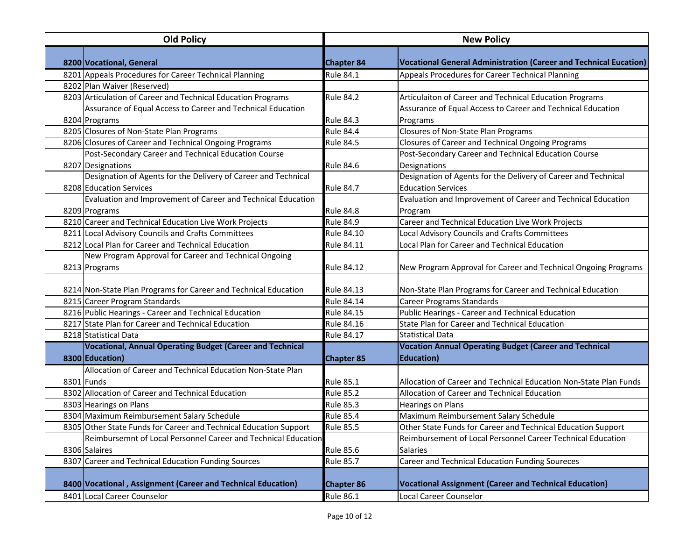| <b>Old Policy</b> |                                                                   |                   | <b>New Policy</b>                                                        |  |  |
|-------------------|-------------------------------------------------------------------|-------------------|--------------------------------------------------------------------------|--|--|
|                   | 8200 Vocational, General                                          | <b>Chapter 84</b> | <b>Vocational General Administration (Career and Technical Eucation)</b> |  |  |
|                   | 8201 Appeals Procedures for Career Technical Planning             | Rule 84.1         | Appeals Procedures for Career Technical Planning                         |  |  |
|                   | 8202 Plan Waiver (Reserved)                                       |                   |                                                                          |  |  |
|                   | 8203 Articulation of Career and Technical Education Programs      | <b>Rule 84.2</b>  | Articulaiton of Career and Technical Education Programs                  |  |  |
|                   | Assurance of Equal Access to Career and Technical Education       |                   | Assurance of Equal Access to Career and Technical Education              |  |  |
|                   | 8204 Programs                                                     | <b>Rule 84.3</b>  | Programs                                                                 |  |  |
|                   | 8205 Closures of Non-State Plan Programs                          | <b>Rule 84.4</b>  | Closures of Non-State Plan Programs                                      |  |  |
|                   | 8206 Closures of Career and Technical Ongoing Programs            | <b>Rule 84.5</b>  | Closures of Career and Technical Ongoing Programs                        |  |  |
|                   | Post-Secondary Career and Technical Education Course              |                   | Post-Secondary Career and Technical Education Course                     |  |  |
|                   | 8207 Designations                                                 | Rule 84.6         | Designations                                                             |  |  |
|                   | Designation of Agents for the Delivery of Career and Technical    |                   | Designation of Agents for the Delivery of Career and Technical           |  |  |
|                   | 8208 Education Services                                           | <b>Rule 84.7</b>  | <b>Education Services</b>                                                |  |  |
|                   | Evaluation and Improvement of Career and Technical Education      |                   | Evaluation and Improvement of Career and Technical Education             |  |  |
|                   | 8209 Programs                                                     | <b>Rule 84.8</b>  | Program                                                                  |  |  |
|                   | 8210 Career and Technical Education Live Work Projects            | <b>Rule 84.9</b>  | Career and Technical Education Live Work Projects                        |  |  |
|                   | 8211 Local Advisory Councils and Crafts Committees                | Rule 84.10        | Local Advisory Councils and Crafts Committees                            |  |  |
|                   | 8212 Local Plan for Career and Technical Education                | Rule 84.11        | Local Plan for Career and Technical Education                            |  |  |
|                   | New Program Approval for Career and Technical Ongoing             |                   |                                                                          |  |  |
|                   | 8213 Programs                                                     | <b>Rule 84.12</b> | New Program Approval for Career and Technical Ongoing Programs           |  |  |
|                   |                                                                   |                   |                                                                          |  |  |
|                   | 8214 Non-State Plan Programs for Career and Technical Education   | <b>Rule 84.13</b> | Non-State Plan Programs for Career and Technical Education               |  |  |
|                   | 8215 Career Program Standards                                     | <b>Rule 84.14</b> | <b>Career Programs Standards</b>                                         |  |  |
|                   | 8216 Public Hearings - Career and Technical Education             | Rule 84.15        | Public Hearings - Career and Technical Education                         |  |  |
|                   | 8217 State Plan for Career and Technical Education                | Rule 84.16        | State Plan for Career and Technical Education                            |  |  |
|                   | 8218 Statistical Data                                             | Rule 84.17        | <b>Statistical Data</b>                                                  |  |  |
|                   | <b>Vocational, Annual Operating Budget (Career and Technical</b>  |                   | <b>Vocation Annual Operating Budget (Career and Technical</b>            |  |  |
|                   | 8300 Education)                                                   | <b>Chapter 85</b> | <b>Education</b> )                                                       |  |  |
|                   | Allocation of Career and Technical Education Non-State Plan       |                   |                                                                          |  |  |
|                   | 8301 Funds                                                        | <b>Rule 85.1</b>  | Allocation of Career and Technical Education Non-State Plan Funds        |  |  |
|                   | 8302 Allocation of Career and Technical Education                 | <b>Rule 85.2</b>  | Allocation of Career and Technical Education                             |  |  |
|                   | 8303 Hearings on Plans                                            | <b>Rule 85.3</b>  | <b>Hearings on Plans</b>                                                 |  |  |
|                   | 8304 Maximum Reimbursement Salary Schedule                        | <b>Rule 85.4</b>  | Maximum Reimbursement Salary Schedule                                    |  |  |
|                   | 8305 Other State Funds for Career and Technical Education Support | <b>Rule 85.5</b>  | Other State Funds for Career and Technical Education Support             |  |  |
|                   | Reimbursemnt of Local Personnel Career and Technical Education    |                   | Reimbursement of Local Personnel Career Technical Education              |  |  |
|                   | 8306 Salaires                                                     | <b>Rule 85.6</b>  | <b>Salaries</b>                                                          |  |  |
|                   | 8307 Career and Technical Education Funding Sources               | <b>Rule 85.7</b>  | Career and Technical Education Funding Soureces                          |  |  |
|                   | 8400 Vocational, Assignment (Career and Technical Education)      | Chapter 86        | <b>Vocational Assignment (Career and Technical Education)</b>            |  |  |
|                   | 8401 Local Career Counselor                                       | <b>Rule 86.1</b>  | Local Career Counselor                                                   |  |  |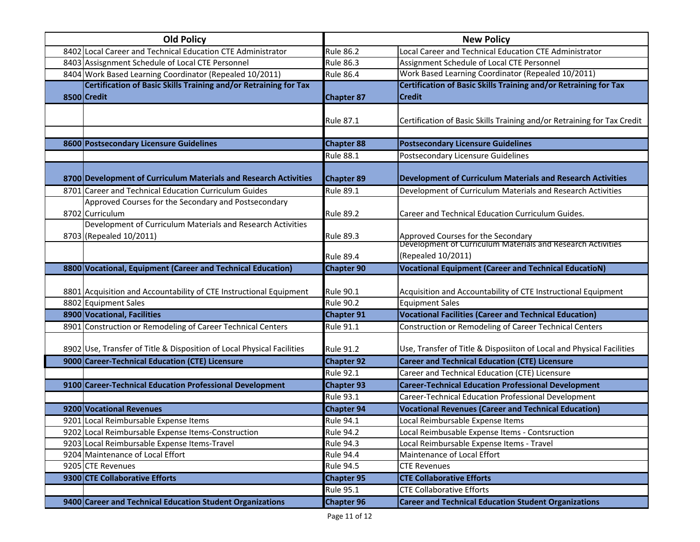| <b>Old Policy</b> |                                                                                        |                   | <b>New Policy</b>                                                                                 |  |
|-------------------|----------------------------------------------------------------------------------------|-------------------|---------------------------------------------------------------------------------------------------|--|
|                   | 8402 Local Career and Technical Education CTE Administrator                            | <b>Rule 86.2</b>  | Local Career and Technical Education CTE Administrator                                            |  |
|                   | 8403 Assisgnment Schedule of Local CTE Personnel                                       | <b>Rule 86.3</b>  | Assignment Schedule of Local CTE Personnel                                                        |  |
|                   | 8404 Work Based Learning Coordinator (Repealed 10/2011)                                | <b>Rule 86.4</b>  | Work Based Learning Coordinator (Repealed 10/2011)                                                |  |
|                   | Certification of Basic Skills Training and/or Retraining for Tax                       |                   | Certification of Basic Skills Training and/or Retraining for Tax                                  |  |
|                   | 8500 Credit                                                                            | <b>Chapter 87</b> | <b>Credit</b>                                                                                     |  |
|                   |                                                                                        | <b>Rule 87.1</b>  | Certification of Basic Skills Training and/or Retraining for Tax Credit                           |  |
|                   | 8600 Postsecondary Licensure Guidelines                                                | <b>Chapter 88</b> | <b>Postsecondary Licensure Guidelines</b>                                                         |  |
|                   |                                                                                        | <b>Rule 88.1</b>  | Postsecondary Licensure Guidelines                                                                |  |
|                   | 8700 Development of Curriculum Materials and Research Activities                       | <b>Chapter 89</b> | <b>Development of Curriculum Materials and Research Activities</b>                                |  |
|                   | 8701 Career and Technical Education Curriculum Guides                                  | <b>Rule 89.1</b>  | Development of Curriculum Materials and Research Activities                                       |  |
|                   | Approved Courses for the Secondary and Postsecondary                                   |                   |                                                                                                   |  |
|                   | 8702 Curriculum                                                                        | <b>Rule 89.2</b>  | Career and Technical Education Curriculum Guides.                                                 |  |
|                   | Development of Curriculum Materials and Research Activities<br>8703 (Repealed 10/2011) | <b>Rule 89.3</b>  | Approved Courses for the Secondary<br>Development of Curriculum Materials and Research Activities |  |
|                   |                                                                                        |                   |                                                                                                   |  |
|                   |                                                                                        | <b>Rule 89.4</b>  | (Repealed 10/2011)                                                                                |  |
|                   | 8800 Vocational, Equipment (Career and Technical Education)                            | <b>Chapter 90</b> | <b>Vocational Equipment (Career and Technical EducatioN)</b>                                      |  |
|                   | 8801 Acquisition and Accountability of CTE Instructional Equipment                     | <b>Rule 90.1</b>  | Acquisition and Accountability of CTE Instructional Equipment                                     |  |
|                   | 8802 Equipment Sales                                                                   | <b>Rule 90.2</b>  | <b>Equipment Sales</b>                                                                            |  |
|                   | 8900 Vocational, Facilities                                                            | <b>Chapter 91</b> | <b>Vocational Facilities (Career and Technical Education)</b>                                     |  |
|                   | 8901 Construction or Remodeling of Career Technical Centers                            | <b>Rule 91.1</b>  | Construction or Remodeling of Career Technical Centers                                            |  |
|                   | 8902 Use, Transfer of Title & Disposition of Local Physical Facilities                 | <b>Rule 91.2</b>  | Use, Transfer of Title & Disposiiton of Local and Physical Facilities                             |  |
|                   | 9000 Career-Technical Education (CTE) Licensure                                        | <b>Chapter 92</b> | <b>Career and Technical Education (CTE) Licensure</b>                                             |  |
|                   |                                                                                        | <b>Rule 92.1</b>  | Career and Technical Education (CTE) Licensure                                                    |  |
|                   | 9100 Career-Technical Education Professional Development                               | <b>Chapter 93</b> | <b>Career-Technical Education Professional Development</b>                                        |  |
|                   |                                                                                        | <b>Rule 93.1</b>  | Career-Technical Education Professional Development                                               |  |
|                   | 9200 Vocational Revenues                                                               | <b>Chapter 94</b> | <b>Vocational Revenues (Career and Technical Education)</b>                                       |  |
|                   | 9201 Local Reimbursable Expense Items                                                  | <b>Rule 94.1</b>  | Local Reimbursable Expense Items                                                                  |  |
|                   | 9202 Local Reimbursable Expense Items-Construction                                     | <b>Rule 94.2</b>  | Local Reimbusable Expense Items - Contsruction                                                    |  |
|                   | 9203 Local Reimbursable Expense Items-Travel                                           | <b>Rule 94.3</b>  | Local Reimbursable Expense Items - Travel                                                         |  |
|                   | 9204 Maintenance of Local Effort                                                       | <b>Rule 94.4</b>  | Maintenance of Local Effort                                                                       |  |
|                   | 9205 CTE Revenues                                                                      | <b>Rule 94.5</b>  | <b>CTE Revenues</b>                                                                               |  |
|                   | 9300 CTE Collaborative Efforts                                                         | <b>Chapter 95</b> | <b>CTE Collaborative Efforts</b>                                                                  |  |
|                   |                                                                                        | <b>Rule 95.1</b>  | <b>CTE Collaborative Efforts</b>                                                                  |  |
|                   | 9400 Career and Technical Education Student Organizations                              | <b>Chapter 96</b> | <b>Career and Technical Education Student Organizations</b>                                       |  |